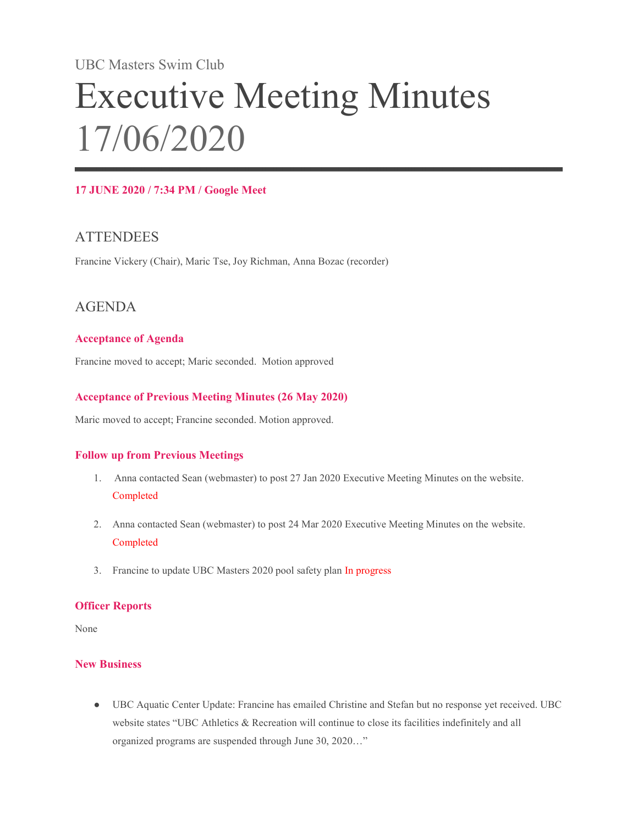# UBC Masters Swim Club Executive Meeting Minutes 17/06/2020

#### 17 JUNE 2020 / 7:34 PM / Google Meet

## **ATTENDEES**

Francine Vickery (Chair), Maric Tse, Joy Richman, Anna Bozac (recorder)

### AGENDA

#### Acceptance of Agenda

Francine moved to accept; Maric seconded. Motion approved

#### Acceptance of Previous Meeting Minutes (26 May 2020)

Maric moved to accept; Francine seconded. Motion approved.

#### Follow up from Previous Meetings

- 1. Anna contacted Sean (webmaster) to post 27 Jan 2020 Executive Meeting Minutes on the website. Completed
- 2. Anna contacted Sean (webmaster) to post 24 Mar 2020 Executive Meeting Minutes on the website. Completed
- 3. Francine to update UBC Masters 2020 pool safety plan In progress

#### Officer Reports

None

#### New Business

● UBC Aquatic Center Update: Francine has emailed Christine and Stefan but no response yet received. UBC website states "UBC Athletics & Recreation will continue to close its facilities indefinitely and all organized programs are suspended through June 30, 2020…"